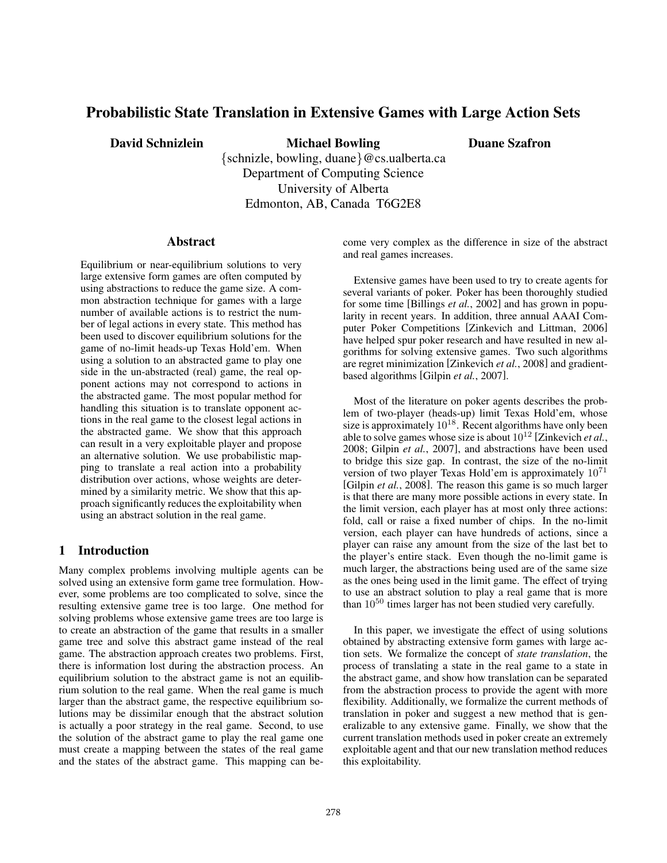# Probabilistic State Translation in Extensive Games with Large Action Sets

David Schnizlein Michael Bowling

Duane Szafron

{schnizle, bowling, duane}@cs.ualberta.ca Department of Computing Science University of Alberta Edmonton, AB, Canada T6G2E8

#### Abstract

Equilibrium or near-equilibrium solutions to very large extensive form games are often computed by using abstractions to reduce the game size. A common abstraction technique for games with a large number of available actions is to restrict the number of legal actions in every state. This method has been used to discover equilibrium solutions for the game of no-limit heads-up Texas Hold'em. When using a solution to an abstracted game to play one side in the un-abstracted (real) game, the real opponent actions may not correspond to actions in the abstracted game. The most popular method for handling this situation is to translate opponent actions in the real game to the closest legal actions in the abstracted game. We show that this approach can result in a very exploitable player and propose an alternative solution. We use probabilistic mapping to translate a real action into a probability distribution over actions, whose weights are determined by a similarity metric. We show that this approach significantly reduces the exploitability when using an abstract solution in the real game.

# 1 Introduction

Many complex problems involving multiple agents can be solved using an extensive form game tree formulation. However, some problems are too complicated to solve, since the resulting extensive game tree is too large. One method for solving problems whose extensive game trees are too large is to create an abstraction of the game that results in a smaller game tree and solve this abstract game instead of the real game. The abstraction approach creates two problems. First, there is information lost during the abstraction process. An equilibrium solution to the abstract game is not an equilibrium solution to the real game. When the real game is much larger than the abstract game, the respective equilibrium solutions may be dissimilar enough that the abstract solution is actually a poor strategy in the real game. Second, to use the solution of the abstract game to play the real game one must create a mapping between the states of the real game and the states of the abstract game. This mapping can become very complex as the difference in size of the abstract and real games increases.

Extensive games have been used to try to create agents for several variants of poker. Poker has been thoroughly studied for some time [Billings *et al.*, 2002] and has grown in popularity in recent years. In addition, three annual AAAI Computer Poker Competitions [Zinkevich and Littman, 2006] have helped spur poker research and have resulted in new algorithms for solving extensive games. Two such algorithms are regret minimization [Zinkevich *et al.*, 2008] and gradientbased algorithms [Gilpin *et al.*, 2007].

Most of the literature on poker agents describes the problem of two-player (heads-up) limit Texas Hold'em, whose size is approximately  $10^{18}$ . Recent algorithms have only been able to solve games whose size is about  $10^{12}$  [Zinkevich *et al.*, 2008; Gilpin *et al.*, 2007], and abstractions have been used to bridge this size gap. In contrast, the size of the no-limit version of two player Texas Hold'em is approximately 10<sup>71</sup> [Gilpin *et al.*, 2008]. The reason this game is so much larger is that there are many more possible actions in every state. In the limit version, each player has at most only three actions: fold, call or raise a fixed number of chips. In the no-limit version, each player can have hundreds of actions, since a player can raise any amount from the size of the last bet to the player's entire stack. Even though the no-limit game is much larger, the abstractions being used are of the same size as the ones being used in the limit game. The effect of trying to use an abstract solution to play a real game that is more than  $10^{50}$  times larger has not been studied very carefully.

In this paper, we investigate the effect of using solutions obtained by abstracting extensive form games with large action sets. We formalize the concept of *state translation*, the process of translating a state in the real game to a state in the abstract game, and show how translation can be separated from the abstraction process to provide the agent with more flexibility. Additionally, we formalize the current methods of translation in poker and suggest a new method that is generalizable to any extensive game. Finally, we show that the current translation methods used in poker create an extremely exploitable agent and that our new translation method reduces this exploitability.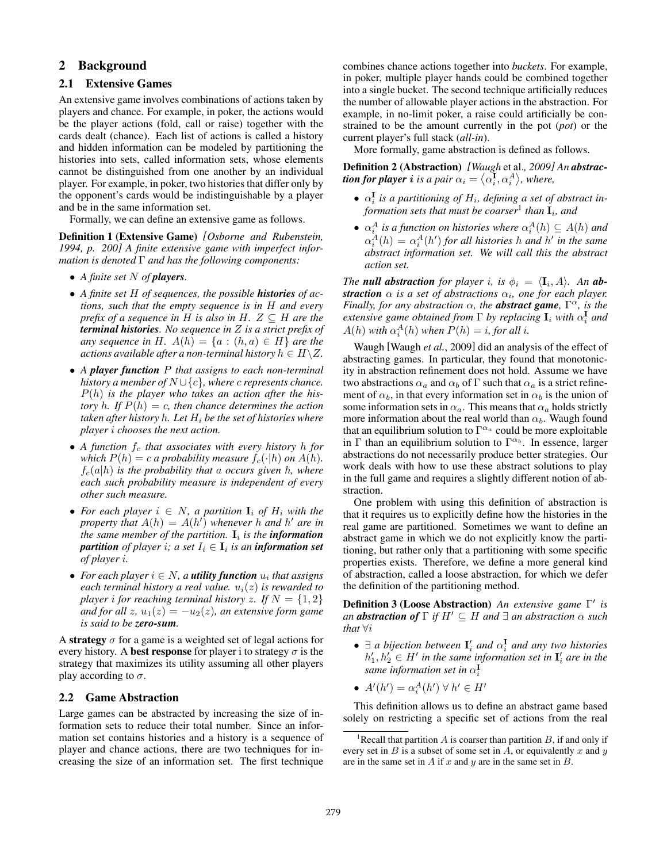# 2 Background

### 2.1 Extensive Games

An extensive game involves combinations of actions taken by players and chance. For example, in poker, the actions would be the player actions (fold, call or raise) together with the cards dealt (chance). Each list of actions is called a history and hidden information can be modeled by partitioning the histories into sets, called information sets, whose elements cannot be distinguished from one another by an individual player. For example, in poker, two histories that differ only by the opponent's cards would be indistinguishable by a player and be in the same information set.

Formally, we can define an extensive game as follows.

Definition 1 (Extensive Game) *[Osborne and Rubenstein, 1994, p. 200] A finite extensive game with imperfect information is denoted* Γ *and has the following components:*

- *A finite set* N *of players.*
- *A finite set* H *of sequences, the possible histories of actions, such that the empty sequence is in* H *and every prefix of a sequence in*  $H$  *is also in*  $H$ *.*  $Z \subseteq H$  *are the terminal histories. No sequence in* Z *is a strict prefix of any sequence in* H.  $A(h) = \{a : (h,a) \in H\}$  *are the actions available after a non-terminal history*  $h \in H \backslash Z$ .
- *<sup>A</sup> player function* P *that assigns to each non-terminal history a member of*  $N \cup \{c\}$ *, where c represents chance.* P(h) *is the player who takes an action after the history* h. If  $P(h) = c$ , then chance determines the action *taken after history* <sup>h</sup>*. Let* <sup>H</sup><sup>i</sup> *be the set of histories where player* i *chooses the next action.*
- A function  $f_c$  that associates with every history h for *which*  $P(h) = c$  *a probability measure*  $f_c(\cdot|h)$  *on*  $A(h)$ *.*  $f_c(a|h)$  *is the probability that a occurs given h, where each such probability measure is independent of every other such measure.*
- For each player  $i \in N$ , a partition  $\mathbf{I}_i$  of  $H_i$  with the *property that*  $A(h) = A(h')$  *whenever* h *and* h' are in<br>the same member of the partition **L** is the **information** *the same member of the partition.*  $I_i$  *is the information partition of player i; a set*  $I_i \in I_i$  *is an information set of player* i*.*
- *For each player*  $i \in N$ , a **utility function**  $u_i$  that assigns *each terminal history a real value.*  $u_i(z)$  *is rewarded to player i for reaching terminal history z. If*  $N = \{1, 2\}$ *and for all*  $z$ ,  $u_1(z) = -u_2(z)$ *, an extensive form game is said to be zero-sum.*

A strategy  $\sigma$  for a game is a weighted set of legal actions for every history. A **best response** for player i to strategy  $\sigma$  is the strategy that maximizes its utility assuming all other players play according to  $\sigma$ .

### 2.2 Game Abstraction

Large games can be abstracted by increasing the size of information sets to reduce their total number. Since an information set contains histories and a history is a sequence of player and chance actions, there are two techniques for increasing the size of an information set. The first technique combines chance actions together into *buckets*. For example, in poker, multiple player hands could be combined together into a single bucket. The second technique artificially reduces the number of allowable player actions in the abstraction. For example, in no-limit poker, a raise could artificially be constrained to be the amount currently in the pot (*pot*) or the current player's full stack (*all-in*).

More formally, game abstraction is defined as follows.

Definition 2 (Abstraction) *[Waugh* et al.*, 2009] An abstraction for player i is a pair*  $\alpha_i = \langle \alpha_i^{\mathbf{I}}, \alpha_i^A \rangle$ *, where,* 

- $\alpha_i^{\dagger}$  *is a partitioning of H<sub>i</sub>, defining a set of abstract information sets that must be coarser*<sup>1</sup> *than* **I**. *and formation sets that must be coarser*<sup>1</sup> *than*  $\mathbf{I}_i$ *, and*
- $\alpha_i^A$  is a function on histories where  $\alpha_i^A(h) \subseteq A(h)$  and<br> $\alpha^A(h) = \alpha^A(h)$  for all histories h and h' in the same  $\alpha_i^A(h) = \alpha_i^A(h')$  for all histories h and h<sup>t</sup> in the same<br>abstract information set We will call this the abstract *abstract information set. We will call this the abstract action set.*

*The null abstraction for player i, is*  $\phi_i = \langle I_i, A \rangle$ *. An abstraction*  $\alpha$  *is a set of abstractions*  $\alpha_i$ *, one for each player. Finally, for any abstraction*  $\alpha$ *, the abstract game,*  $\Gamma^{\alpha}$ *<i>, is the extensive game obtained from*  $\Gamma$  *by replacing*  $\mathbf{I}_i$  *with*  $\alpha_i^{\mathbf{I}}$  *and*  $A(b)$  *with*  $\alpha_i^A(b)$  *when*  $P(b) = i$  *for all i*  $A(h)$  with  $\alpha_i^A(h)$  when  $P(h) = i$ , for all i.

Waugh [Waugh *et al.*, 2009] did an analysis of the effect of abstracting games. In particular, they found that monotonicity in abstraction refinement does not hold. Assume we have two abstractions  $\alpha_a$  and  $\alpha_b$  of  $\Gamma$  such that  $\alpha_a$  is a strict refinement of  $\alpha_b$ , in that every information set in  $\alpha_b$  is the union of some information sets in  $\alpha_a$ . This means that  $\alpha_a$  holds strictly more information about the real world than  $\alpha_b$ . Waugh found that an equilibrium solution to  $\Gamma^{\alpha_a}$  could be more exploitable in Γ than an equilibrium solution to  $\Gamma^{\alpha_b}$ . In essence, larger abstractions do not necessarily produce better strategies. Our work deals with how to use these abstract solutions to play in the full game and requires a slightly different notion of abstraction.

One problem with using this definition of abstraction is that it requires us to explicitly define how the histories in the real game are partitioned. Sometimes we want to define an abstract game in which we do not explicitly know the partitioning, but rather only that a partitioning with some specific properties exists. Therefore, we define a more general kind of abstraction, called a loose abstraction, for which we defer the definition of the partitioning method.

**Definition 3 (Loose Abstraction)** An extensive game  $\Gamma'$  is *an abstraction of* <sup>Γ</sup> *if* H- <sup>⊆</sup> H *and* <sup>∃</sup> *an abstraction* α *such that* <sup>∀</sup>i

- $\exists$  *a* bijection between  $\mathbf{I}'_i$  and  $\alpha_i^{\mathbf{I}}$  and any two histories  $h'$ ,  $h' \in H'$  in the same information set in  $\mathbf{I}'$ , are in the  $h'_1, h'_2 \in H'$  in the same information set in  $\mathbf{I}'_i$  are in the same information set in  $\alpha^{\mathbf{I}}$ . *same information set in* α**<sup>I</sup>** i
- $A'(h') = \alpha_i^A(h') \forall h' \in H'$

This definition allows us to define an abstract game based solely on restricting a specific set of actions from the real

<sup>&</sup>lt;sup>1</sup>Recall that partition  $A$  is coarser than partition  $B$ , if and only if every set in  $B$  is a subset of some set in  $A$ , or equivalently  $x$  and  $y$ are in the same set in  $A$  if  $x$  and  $y$  are in the same set in  $B$ .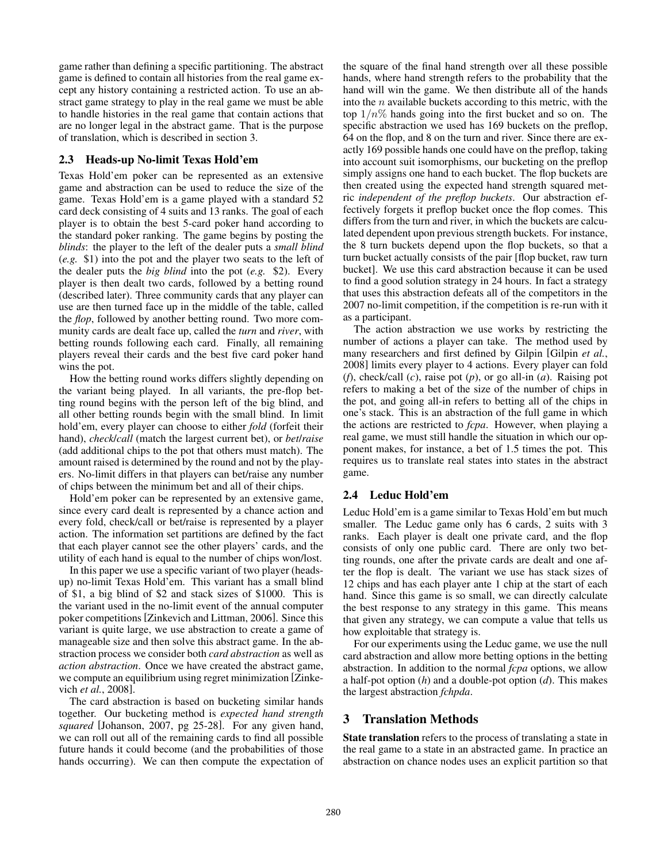game rather than defining a specific partitioning. The abstract game is defined to contain all histories from the real game except any history containing a restricted action. To use an abstract game strategy to play in the real game we must be able to handle histories in the real game that contain actions that are no longer legal in the abstract game. That is the purpose of translation, which is described in section 3.

### 2.3 Heads-up No-limit Texas Hold'em

Texas Hold'em poker can be represented as an extensive game and abstraction can be used to reduce the size of the game. Texas Hold'em is a game played with a standard 52 card deck consisting of 4 suits and 13 ranks. The goal of each player is to obtain the best 5-card poker hand according to the standard poker ranking. The game begins by posting the *blinds*: the player to the left of the dealer puts a *small blind* (*e.g.* \$1) into the pot and the player two seats to the left of the dealer puts the *big blind* into the pot (*e.g.* \$2). Every player is then dealt two cards, followed by a betting round (described later). Three community cards that any player can use are then turned face up in the middle of the table, called the *flop*, followed by another betting round. Two more community cards are dealt face up, called the *turn* and *river*, with betting rounds following each card. Finally, all remaining players reveal their cards and the best five card poker hand wins the pot.

How the betting round works differs slightly depending on the variant being played. In all variants, the pre-flop betting round begins with the person left of the big blind, and all other betting rounds begin with the small blind. In limit hold'em, every player can choose to either *fold* (forfeit their hand), *check*/*call* (match the largest current bet), or *bet*/*raise* (add additional chips to the pot that others must match). The amount raised is determined by the round and not by the players. No-limit differs in that players can bet/raise any number of chips between the minimum bet and all of their chips.

Hold'em poker can be represented by an extensive game, since every card dealt is represented by a chance action and every fold, check/call or bet/raise is represented by a player action. The information set partitions are defined by the fact that each player cannot see the other players' cards, and the utility of each hand is equal to the number of chips won/lost.

In this paper we use a specific variant of two player (headsup) no-limit Texas Hold'em. This variant has a small blind of \$1, a big blind of \$2 and stack sizes of \$1000. This is the variant used in the no-limit event of the annual computer poker competitions [Zinkevich and Littman, 2006]. Since this variant is quite large, we use abstraction to create a game of manageable size and then solve this abstract game. In the abstraction process we consider both *card abstraction* as well as *action abstraction*. Once we have created the abstract game, we compute an equilibrium using regret minimization [Zinkevich *et al.*, 2008].

The card abstraction is based on bucketing similar hands together. Our bucketing method is *expected hand strength squared* [Johanson, 2007, pg 25-28]. For any given hand, we can roll out all of the remaining cards to find all possible future hands it could become (and the probabilities of those hands occurring). We can then compute the expectation of the square of the final hand strength over all these possible hands, where hand strength refers to the probability that the hand will win the game. We then distribute all of the hands into the  $n$  available buckets according to this metric, with the top  $1/n\%$  hands going into the first bucket and so on. The specific abstraction we used has 169 buckets on the preflop, 64 on the flop, and 8 on the turn and river. Since there are exactly 169 possible hands one could have on the preflop, taking into account suit isomorphisms, our bucketing on the preflop simply assigns one hand to each bucket. The flop buckets are then created using the expected hand strength squared metric *independent of the preflop buckets*. Our abstraction effectively forgets it preflop bucket once the flop comes. This differs from the turn and river, in which the buckets are calculated dependent upon previous strength buckets. For instance, the 8 turn buckets depend upon the flop buckets, so that a turn bucket actually consists of the pair [flop bucket, raw turn bucket]. We use this card abstraction because it can be used to find a good solution strategy in 24 hours. In fact a strategy that uses this abstraction defeats all of the competitors in the 2007 no-limit competition, if the competition is re-run with it as a participant.

The action abstraction we use works by restricting the number of actions a player can take. The method used by many researchers and first defined by Gilpin [Gilpin *et al.*, 2008] limits every player to 4 actions. Every player can fold (*f*), check/call (*c*), raise pot (*p*), or go all-in (*a*). Raising pot refers to making a bet of the size of the number of chips in the pot, and going all-in refers to betting all of the chips in one's stack. This is an abstraction of the full game in which the actions are restricted to *fcpa*. However, when playing a real game, we must still handle the situation in which our opponent makes, for instance, a bet of 1.5 times the pot. This requires us to translate real states into states in the abstract game.

### 2.4 Leduc Hold'em

Leduc Hold'em is a game similar to Texas Hold'em but much smaller. The Leduc game only has 6 cards, 2 suits with 3 ranks. Each player is dealt one private card, and the flop consists of only one public card. There are only two betting rounds, one after the private cards are dealt and one after the flop is dealt. The variant we use has stack sizes of 12 chips and has each player ante 1 chip at the start of each hand. Since this game is so small, we can directly calculate the best response to any strategy in this game. This means that given any strategy, we can compute a value that tells us how exploitable that strategy is.

For our experiments using the Leduc game, we use the null card abstraction and allow more betting options in the betting abstraction. In addition to the normal *fcpa* options, we allow a half-pot option (*h*) and a double-pot option (*d*). This makes the largest abstraction *fchpda*.

# 3 Translation Methods

State translation refers to the process of translating a state in the real game to a state in an abstracted game. In practice an abstraction on chance nodes uses an explicit partition so that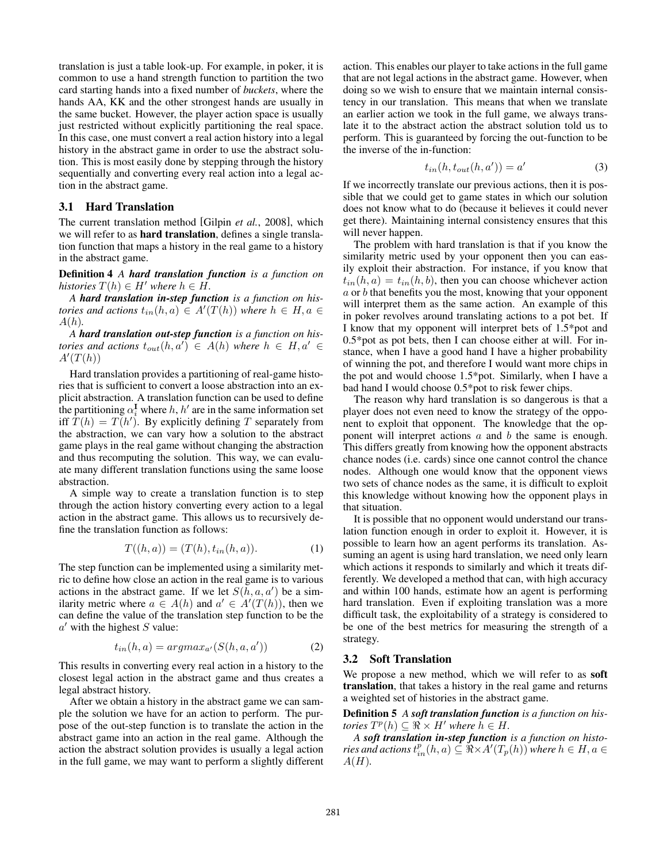translation is just a table look-up. For example, in poker, it is common to use a hand strength function to partition the two card starting hands into a fixed number of *buckets*, where the hands AA, KK and the other strongest hands are usually in the same bucket. However, the player action space is usually just restricted without explicitly partitioning the real space. In this case, one must convert a real action history into a legal history in the abstract game in order to use the abstract solution. This is most easily done by stepping through the history sequentially and converting every real action into a legal action in the abstract game.

#### 3.1 Hard Translation

The current translation method [Gilpin *et al.*, 2008], which we will refer to as **hard translation**, defines a single translation function that maps a history in the real game to a history in the abstract game.

Definition 4 *A hard translation function is a function on histories*  $T(h) \in H'$  where  $h \in H$ .<br>*A hard translation in-sten func* 

*A hard translation in-step function is a function on histories and actions*  $t_{in}(h, a) \in A'(T(h))$  *where*  $h \in H, a \in A(h)$ A(h)*.*

*A hard translation out-step function is a function on histories and actions*  $t_{out}(h, a') \in A(h)$  *where*  $h \in H, a' \in A'(T(h))$  $A'(T(h))$ 

Hard translation provides a partitioning of real-game histories that is sufficient to convert a loose abstraction into an explicit abstraction. A translation function can be used to define the partitioning  $\alpha_i^{\text{I}}$  where h, h' are in the same information set<br>iff  $T(h) = T(h')$ . By explicitly defining T separately from iff  $T(h) = T(h')$ . By explicitly defining T separately from<br>the abstraction we can vary how a solution to the abstract the abstraction, we can vary how a solution to the abstract game plays in the real game without changing the abstraction and thus recomputing the solution. This way, we can evaluate many different translation functions using the same loose abstraction.

A simple way to create a translation function is to step through the action history converting every action to a legal action in the abstract game. This allows us to recursively define the translation function as follows:

$$
T((h, a)) = (T(h), t_{in}(h, a)).
$$
 (1)

The step function can be implemented using a similarity metric to define how close an action in the real game is to various actions in the abstract game. If we let  $S(h, a, a')$  be a sim-<br>ilarity metric where  $a \in A(h)$  and  $a' \in A'(T(h))$  then we ilarity metric where  $a \in A(h)$  and  $a' \in A'(T(h))$ , then we can define the value of the translation step function to be the can define the value of the translation step function to be the  $a'$  with the highest S value:

$$
t_{in}(h,a) = argmax_{a'}(S(h,a,a')) \tag{2}
$$

This results in converting every real action in a history to the closest legal action in the abstract game and thus creates a legal abstract history.

After we obtain a history in the abstract game we can sample the solution we have for an action to perform. The purpose of the out-step function is to translate the action in the abstract game into an action in the real game. Although the action the abstract solution provides is usually a legal action in the full game, we may want to perform a slightly different action. This enables our player to take actions in the full game that are not legal actions in the abstract game. However, when doing so we wish to ensure that we maintain internal consistency in our translation. This means that when we translate an earlier action we took in the full game, we always translate it to the abstract action the abstract solution told us to perform. This is guaranteed by forcing the out-function to be the inverse of the in-function:

$$
t_{in}(h, t_{out}(h, a')) = a'
$$
 (3)

If we incorrectly translate our previous actions, then it is possible that we could get to game states in which our solution does not know what to do (because it believes it could never get there). Maintaining internal consistency ensures that this will never happen.

The problem with hard translation is that if you know the similarity metric used by your opponent then you can easily exploit their abstraction. For instance, if you know that  $t_{in}(h, a) = t_{in}(h, b)$ , then you can choose whichever action  $a$  or  $b$  that benefits you the most, knowing that your opponent will interpret them as the same action. An example of this in poker revolves around translating actions to a pot bet. If I know that my opponent will interpret bets of 1.5\*pot and 0.5\*pot as pot bets, then I can choose either at will. For instance, when I have a good hand I have a higher probability of winning the pot, and therefore I would want more chips in the pot and would choose 1.5\*pot. Similarly, when I have a bad hand I would choose 0.5\*pot to risk fewer chips.

The reason why hard translation is so dangerous is that a player does not even need to know the strategy of the opponent to exploit that opponent. The knowledge that the opponent will interpret actions  $a$  and  $b$  the same is enough. This differs greatly from knowing how the opponent abstracts chance nodes (i.e. cards) since one cannot control the chance nodes. Although one would know that the opponent views two sets of chance nodes as the same, it is difficult to exploit this knowledge without knowing how the opponent plays in that situation.

It is possible that no opponent would understand our translation function enough in order to exploit it. However, it is possible to learn how an agent performs its translation. Assuming an agent is using hard translation, we need only learn which actions it responds to similarly and which it treats differently. We developed a method that can, with high accuracy and within 100 hands, estimate how an agent is performing hard translation. Even if exploiting translation was a more difficult task, the exploitability of a strategy is considered to be one of the best metrics for measuring the strength of a strategy.

#### 3.2 Soft Translation

We propose a new method, which we will refer to as soft translation, that takes a history in the real game and returns a weighted set of histories in the abstract game.

Definition 5 *A soft translation function is a function on histories*  $T^p(h) \subseteq \Re \times H'$  where  $h \in H$ .<br>*A soft translation in-sten function* 

*A soft translation in-step function is a function on histo*ries and actions  $t_{in}^p(h, a) \subseteq \mathfrak{R} \times A'(T_p(h))$  where  $h \in H, a \in A(H)$ A(H)*.*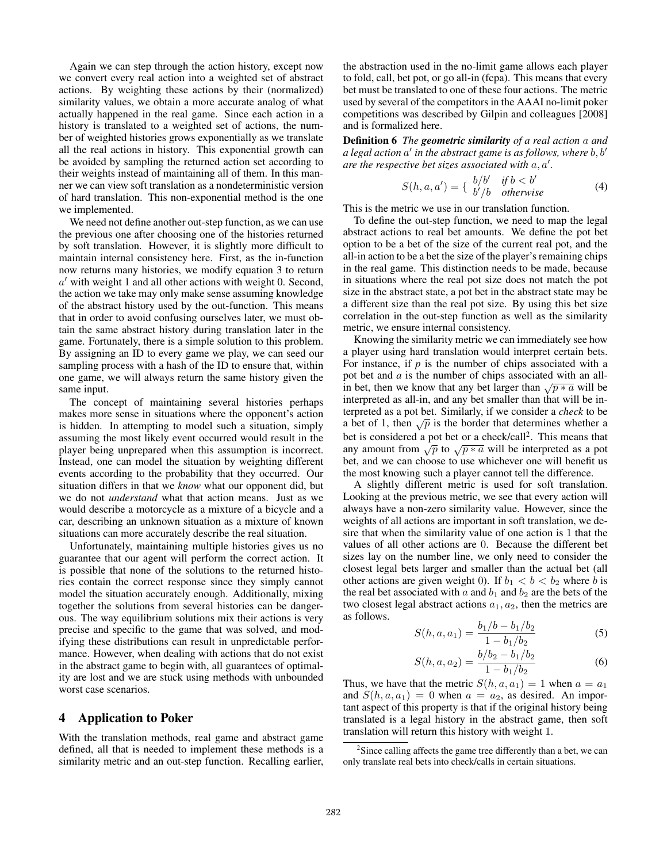Again we can step through the action history, except now we convert every real action into a weighted set of abstract actions. By weighting these actions by their (normalized) similarity values, we obtain a more accurate analog of what actually happened in the real game. Since each action in a history is translated to a weighted set of actions, the number of weighted histories grows exponentially as we translate all the real actions in history. This exponential growth can be avoided by sampling the returned action set according to their weights instead of maintaining all of them. In this manner we can view soft translation as a nondeterministic version of hard translation. This non-exponential method is the one we implemented.

We need not define another out-step function, as we can use the previous one after choosing one of the histories returned by soft translation. However, it is slightly more difficult to maintain internal consistency here. First, as the in-function now returns many histories, we modify equation 3 to return  $a'$  with weight 1 and all other actions with weight 0. Second, the action we take may only make sense assuming knowledge the action we take may only make sense assuming knowledge of the abstract history used by the out-function. This means that in order to avoid confusing ourselves later, we must obtain the same abstract history during translation later in the game. Fortunately, there is a simple solution to this problem. By assigning an ID to every game we play, we can seed our sampling process with a hash of the ID to ensure that, within one game, we will always return the same history given the same input.

The concept of maintaining several histories perhaps makes more sense in situations where the opponent's action is hidden. In attempting to model such a situation, simply assuming the most likely event occurred would result in the player being unprepared when this assumption is incorrect. Instead, one can model the situation by weighting different events according to the probability that they occurred. Our situation differs in that we *know* what our opponent did, but we do not *understand* what that action means. Just as we would describe a motorcycle as a mixture of a bicycle and a car, describing an unknown situation as a mixture of known situations can more accurately describe the real situation.

Unfortunately, maintaining multiple histories gives us no guarantee that our agent will perform the correct action. It is possible that none of the solutions to the returned histories contain the correct response since they simply cannot model the situation accurately enough. Additionally, mixing together the solutions from several histories can be dangerous. The way equilibrium solutions mix their actions is very precise and specific to the game that was solved, and modifying these distributions can result in unpredictable performance. However, when dealing with actions that do not exist in the abstract game to begin with, all guarantees of optimality are lost and we are stuck using methods with unbounded worst case scenarios.

## 4 Application to Poker

With the translation methods, real game and abstract game defined, all that is needed to implement these methods is a similarity metric and an out-step function. Recalling earlier, the abstraction used in the no-limit game allows each player to fold, call, bet pot, or go all-in (fcpa). This means that every bet must be translated to one of these four actions. The metric used by several of the competitors in the AAAI no-limit poker competitions was described by Gilpin and colleagues [2008] and is formalized here.

Definition 6 *The geometric similarity of a real action* a *and a legal action*  $a'$  in the abstract game is as follows, where  $b, b'$ <br>are the respective het sizes associated with a  $a'$ are the respective bet sizes associated with  $a, a'$ .<br>*<sup>111</sup> island*</sub> *i* 

$$
S(h, a, a') = \{ \begin{array}{ll} b/b' & \text{if } b < b' \\ b'/b & \text{otherwise} \end{array} \} \tag{4}
$$
\nThis is the metric we use in our translation function.

To define the out-step function, we need to map the legal abstract actions to real bet amounts. We define the pot bet option to be a bet of the size of the current real pot, and the all-in action to be a bet the size of the player's remaining chips in the real game. This distinction needs to be made, because in situations where the real pot size does not match the pot size in the abstract state, a pot bet in the abstract state may be a different size than the real pot size. By using this bet size correlation in the out-step function as well as the similarity metric, we ensure internal consistency.

Knowing the similarity metric we can immediately see how a player using hard translation would interpret certain bets. For instance, if *p* is the number of chips associated with a pot bet and *a* is the number of chips associated with an allin bet, then we know that any bet larger than  $\sqrt{p * a}$  will be interpreted as all-in, and any bet smaller than that will be interpreted as a pot bet. Similarly, if we consider a *check* to be a bet of 1, then  $\sqrt{p}$  is the border that determines whether a bet is considered a pot bet or a check/call<sup>2</sup>. This means that any amount from  $\sqrt{p}$  to  $\sqrt{p*a}$  will be interpreted as a pot bet, and we can choose to use whichever one will benefit us the most knowing such a player cannot tell the difference.

A slightly different metric is used for soft translation. Looking at the previous metric, we see that every action will always have a non-zero similarity value. However, since the weights of all actions are important in soft translation, we desire that when the similarity value of one action is 1 that the values of all other actions are 0. Because the different bet sizes lay on the number line, we only need to consider the closest legal bets larger and smaller than the actual bet (all other actions are given weight 0). If  $b_1 < b < b_2$  where b is the real bet associated with  $a$  and  $b_1$  and  $b_2$  are the bets of the two closest legal abstract actions  $a_1, a_2$ , then the metrics are as follows.

$$
S(h, a, a_1) = \frac{b_1/b - b_1/b_2}{1 - b_1/b_2} \tag{5}
$$

$$
S(h, a, a_2) = \frac{b/b_2 - b_1/b_2}{1 - b_1/b_2}
$$
 (6)

Thus, we have that the metric  $S(h, a, a_1) = 1$  when  $a = a_1$ <br>and  $S(h, a, a_1) = 0$  when  $a = a_2$  as desired. An imporand  $S(h, a, a_1) = 0$  when  $a = a_2$ , as desired. An important aspect of this property is that if the original history being translated is a legal history in the abstract game, then soft translation will return this history with weight 1.

 $2$ Since calling affects the game tree differently than a bet, we can only translate real bets into check/calls in certain situations.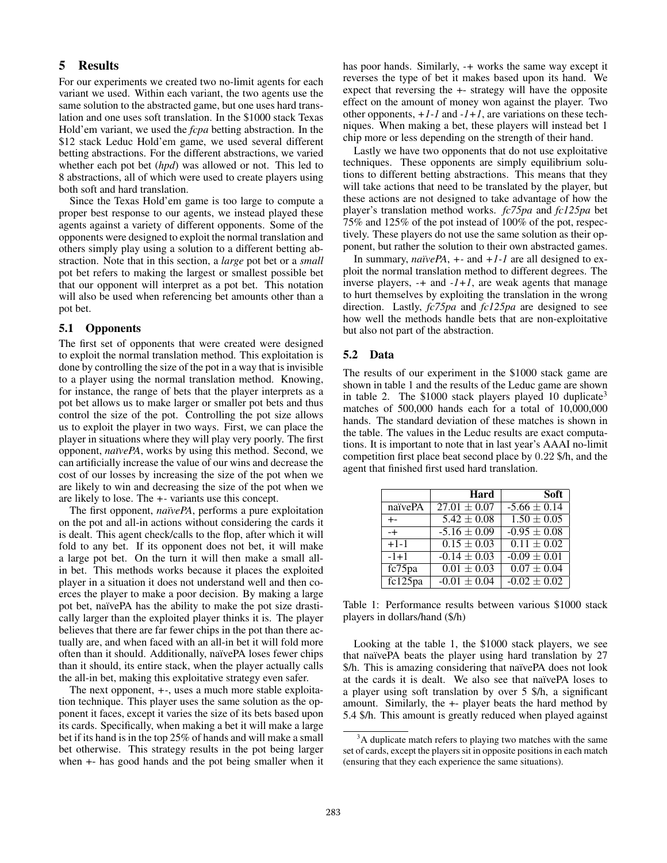# 5 Results

For our experiments we created two no-limit agents for each variant we used. Within each variant, the two agents use the same solution to the abstracted game, but one uses hard translation and one uses soft translation. In the \$1000 stack Texas Hold'em variant, we used the *fcpa* betting abstraction. In the \$12 stack Leduc Hold'em game, we used several different betting abstractions. For the different abstractions, we varied whether each pot bet (*hpd*) was allowed or not. This led to 8 abstractions, all of which were used to create players using both soft and hard translation.

Since the Texas Hold'em game is too large to compute a proper best response to our agents, we instead played these agents against a variety of different opponents. Some of the opponents were designed to exploit the normal translation and others simply play using a solution to a different betting abstraction. Note that in this section, a *large* pot bet or a *small* pot bet refers to making the largest or smallest possible bet that our opponent will interpret as a pot bet. This notation will also be used when referencing bet amounts other than a pot bet.

### 5.1 Opponents

The first set of opponents that were created were designed to exploit the normal translation method. This exploitation is done by controlling the size of the pot in a way that is invisible to a player using the normal translation method. Knowing, for instance, the range of bets that the player interprets as a pot bet allows us to make larger or smaller pot bets and thus control the size of the pot. Controlling the pot size allows us to exploit the player in two ways. First, we can place the player in situations where they will play very poorly. The first opponent, *na¨ıvePA*, works by using this method. Second, we can artificially increase the value of our wins and decrease the cost of our losses by increasing the size of the pot when we are likely to win and decreasing the size of the pot when we are likely to lose. The *+-* variants use this concept.

The first opponent, *naïvePA*, performs a pure exploitation on the pot and all-in actions without considering the cards it is dealt. This agent check/calls to the flop, after which it will fold to any bet. If its opponent does not bet, it will make a large pot bet. On the turn it will then make a small allin bet. This methods works because it places the exploited player in a situation it does not understand well and then coerces the player to make a poor decision. By making a large pot bet, naïvePA has the ability to make the pot size drastically larger than the exploited player thinks it is. The player believes that there are far fewer chips in the pot than there actually are, and when faced with an all-in bet it will fold more often than it should. Additionally, naïvePA loses fewer chips than it should, its entire stack, when the player actually calls the all-in bet, making this exploitative strategy even safer.

The next opponent, *+-*, uses a much more stable exploitation technique. This player uses the same solution as the opponent it faces, except it varies the size of its bets based upon its cards. Specifically, when making a bet it will make a large bet if its hand is in the top 25% of hands and will make a small bet otherwise. This strategy results in the pot being larger when +- has good hands and the pot being smaller when it has poor hands. Similarly, *-+* works the same way except it reverses the type of bet it makes based upon its hand. We expect that reversing the +- strategy will have the opposite effect on the amount of money won against the player. Two other opponents,  $+1-1$  and  $-1+1$ , are variations on these techniques. When making a bet, these players will instead bet 1 chip more or less depending on the strength of their hand.

Lastly we have two opponents that do not use exploitative techniques. These opponents are simply equilibrium solutions to different betting abstractions. This means that they will take actions that need to be translated by the player, but these actions are not designed to take advantage of how the player's translation method works. *fc75pa* and *fc125pa* bet 75% and 125% of the pot instead of 100% of the pot, respectively. These players do not use the same solution as their opponent, but rather the solution to their own abstracted games.

In summary, *na¨ıvePA*, *+-* and *+1-1* are all designed to exploit the normal translation method to different degrees. The inverse players, *-+* and *-1+1*, are weak agents that manage to hurt themselves by exploiting the translation in the wrong direction. Lastly, *fc75pa* and *fc125pa* are designed to see how well the methods handle bets that are non-exploitative but also not part of the abstraction.

### 5.2 Data

The results of our experiment in the \$1000 stack game are shown in table 1 and the results of the Leduc game are shown in table 2. The  $$1000$  stack players played 10 duplicate<sup>3</sup> matches of 500,000 hands each for a total of 10,000,000 hands. The standard deviation of these matches is shown in the table. The values in the Leduc results are exact computations. It is important to note that in last year's AAAI no-limit competition first place beat second place by <sup>0</sup>.<sup>22</sup> \$/h, and the agent that finished first used hard translation.

|         | Hard             | <b>Soft</b>      |
|---------|------------------|------------------|
| naïvePA | $27.01 \pm 0.07$ | $-5.66 \pm 0.14$ |
| +-      | $5.42 \pm 0.08$  | $1.50 \pm 0.05$  |
| $-+$    | $-5.16 \pm 0.09$ | $-0.95 + 0.08$   |
| $+1-1$  | $0.15 \pm 0.03$  | $0.11 + 0.02$    |
| $-1+1$  | $-0.14 \pm 0.03$ | $-0.09 \pm 0.01$ |
| fc75pa  | $0.01 \pm 0.03$  | $0.07 \pm 0.04$  |
| fc125pa | $-0.01 \pm 0.04$ | $-0.02 \pm 0.02$ |

Table 1: Performance results between various \$1000 stack players in dollars/hand (\$/h)

Looking at the table 1, the \$1000 stack players, we see that naïvePA beats the player using hard translation by 27 \$/h. This is amazing considering that naïvePA does not look at the cards it is dealt. We also see that naïvePA loses to a player using soft translation by over 5 \$/h, a significant amount. Similarly, the +- player beats the hard method by 5.4 \$/h. This amount is greatly reduced when played against

<sup>&</sup>lt;sup>3</sup>A duplicate match refers to playing two matches with the same set of cards, except the players sit in opposite positions in each match (ensuring that they each experience the same situations).